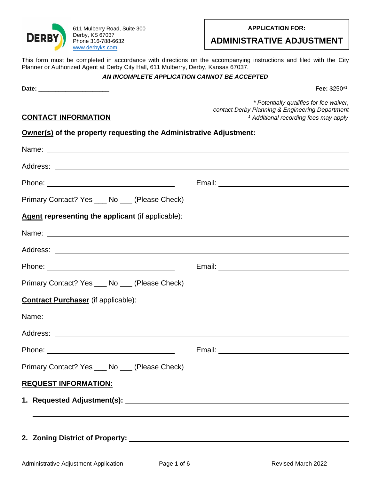

611 Mulberry Road, Suite 300 Derby, KS 67037 Phone 316-788-6632 [www.derbyks.com](http://www.derbyks.com/)

#### **APPLICATION FOR:**

# **ADMINISTRATIVE ADJUSTMENT**

This form must be completed in accordance with directions on the accompanying instructions and filed with the City Planner or Authorized Agent at Derby City Hall, 611 Mulberry, Derby, Kansas 67037.

### *AN INCOMPLETE APPLICATION CANNOT BE ACCEPTED*

**Date:** \_\_\_\_\_\_\_\_\_\_\_\_\_\_\_\_\_\_\_\_\_ **Fee:** \$250\*

**CONTACT INFORMATION**

*\* Potentially qualifies for fee waiver, contact Derby Planning & Engineering Department <sup>1</sup> Additional recording fees may apply*

Fee: \$250\*1

| Owner(s) of the property requesting the Administrative Adjustment: |  |  |  |
|--------------------------------------------------------------------|--|--|--|
|                                                                    |  |  |  |

| Primary Contact? Yes ____ No ___ (Please Check)   |  |  |  |  |
|---------------------------------------------------|--|--|--|--|
| Agent representing the applicant (if applicable): |  |  |  |  |
|                                                   |  |  |  |  |
|                                                   |  |  |  |  |
|                                                   |  |  |  |  |
| Primary Contact? Yes ___ No __ (Please Check)     |  |  |  |  |
| <b>Contract Purchaser</b> (if applicable):        |  |  |  |  |
|                                                   |  |  |  |  |
|                                                   |  |  |  |  |
|                                                   |  |  |  |  |
| Primary Contact? Yes ____ No ____ (Please Check)  |  |  |  |  |
| <b>REQUEST INFORMATION:</b>                       |  |  |  |  |
|                                                   |  |  |  |  |
|                                                   |  |  |  |  |
|                                                   |  |  |  |  |
|                                                   |  |  |  |  |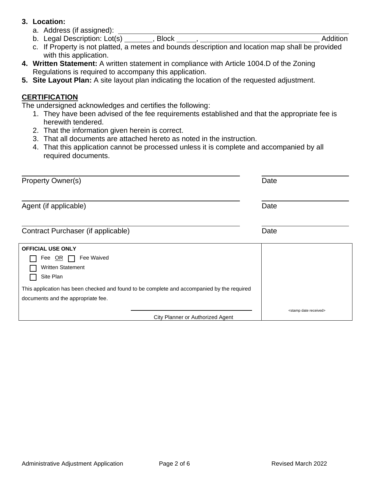### **3. Location:**

- a. Address (if assigned):
- b. Legal Description: Lot(s) \_\_\_\_\_\_\_, Block \_\_\_\_\_, \_\_\_\_\_\_\_\_\_ contact the addition
- c. If Property is not platted, a metes and bounds description and location map shall be provided with this application.
- **4. Written Statement:** A written statement in compliance with Article 1004.D of the Zoning Regulations is required to accompany this application.
- **5. Site Layout Plan:** A site layout plan indicating the location of the requested adjustment.

## **CERTIFICATION**

The undersigned acknowledges and certifies the following:

- 1. They have been advised of the fee requirements established and that the appropriate fee is herewith tendered.
- 2. That the information given herein is correct.
- 3. That all documents are attached hereto as noted in the instruction.
- 4. That this application cannot be processed unless it is complete and accompanied by all required documents.

| <b>Property Owner(s)</b>                                                                                                         | Date                                |
|----------------------------------------------------------------------------------------------------------------------------------|-------------------------------------|
| Agent (if applicable)                                                                                                            | Date                                |
| Contract Purchaser (if applicable)                                                                                               | Date                                |
| <b>OFFICIAL USE ONLY</b><br>Fee Waived<br>Fee OR<br><b>Written Statement</b><br>Site Plan                                        |                                     |
| This application has been checked and found to be complete and accompanied by the required<br>documents and the appropriate fee. |                                     |
| City Planner or Authorized Agent                                                                                                 | <stamp date="" received=""></stamp> |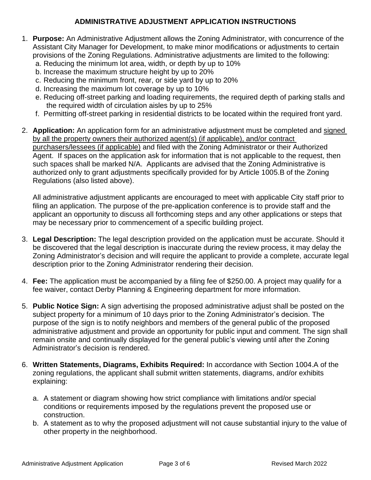## **ADMINISTRATIVE ADJUSTMENT APPLICATION INSTRUCTIONS**

- 1. **Purpose:** An Administrative Adjustment allows the Zoning Administrator, with concurrence of the Assistant City Manager for Development, to make minor modifications or adjustments to certain provisions of the Zoning Regulations. Administrative adjustments are limited to the following:
	- a. Reducing the minimum lot area, width, or depth by up to 10%
	- b. Increase the maximum structure height by up to 20%
	- c. Reducing the minimum front, rear, or side yard by up to 20%
	- d. Increasing the maximum lot coverage by up to 10%
	- e. Reducing off-street parking and loading requirements, the required depth of parking stalls and the required width of circulation aisles by up to 25%
	- f. Permitting off-street parking in residential districts to be located within the required front yard.
- 2. **Application:** An application form for an administrative adjustment must be completed and signed by all the property owners their authorized agent(s) (if applicable), and/or contract purchasers/lessees (if applicable) and filed with the Zoning Administrator or their Authorized Agent. If spaces on the application ask for information that is not applicable to the request, then such spaces shall be marked N/A. Applicants are advised that the Zoning Administrative is authorized only to grant adjustments specifically provided for by Article 1005.B of the Zoning Regulations (also listed above).

All administrative adjustment applicants are encouraged to meet with applicable City staff prior to filing an application. The purpose of the pre-application conference is to provide staff and the applicant an opportunity to discuss all forthcoming steps and any other applications or steps that may be necessary prior to commencement of a specific building project.

- 3. **Legal Description:** The legal description provided on the application must be accurate. Should it be discovered that the legal description is inaccurate during the review process, it may delay the Zoning Administrator's decision and will require the applicant to provide a complete, accurate legal description prior to the Zoning Administrator rendering their decision.
- 4. **Fee:** The application must be accompanied by a filing fee of \$250.00. A project may qualify for a fee waiver, contact Derby Planning & Engineering department for more information.
- 5. **Public Notice Sign:** A sign advertising the proposed administrative adjust shall be posted on the subject property for a minimum of 10 days prior to the Zoning Administrator's decision. The purpose of the sign is to notify neighbors and members of the general public of the proposed administrative adjustment and provide an opportunity for public input and comment. The sign shall remain onsite and continually displayed for the general public's viewing until after the Zoning Administrator's decision is rendered.
- 6. **Written Statements, Diagrams, Exhibits Required:** In accordance with Section 1004.A of the zoning regulations, the applicant shall submit written statements, diagrams, and/or exhibits explaining:
	- a. A statement or diagram showing how strict compliance with limitations and/or special conditions or requirements imposed by the regulations prevent the proposed use or construction.
	- b. A statement as to why the proposed adjustment will not cause substantial injury to the value of other property in the neighborhood.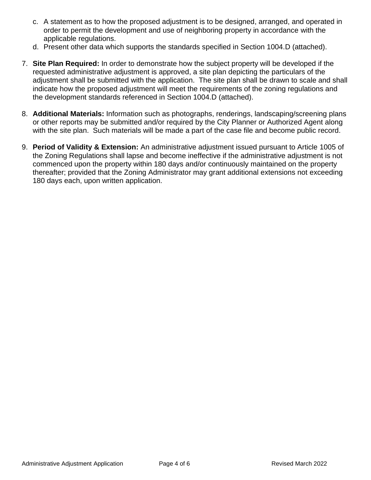- c. A statement as to how the proposed adjustment is to be designed, arranged, and operated in order to permit the development and use of neighboring property in accordance with the applicable regulations.
- d. Present other data which supports the standards specified in Section 1004.D (attached).
- 7. **Site Plan Required:** In order to demonstrate how the subject property will be developed if the requested administrative adjustment is approved, a site plan depicting the particulars of the adjustment shall be submitted with the application. The site plan shall be drawn to scale and shall indicate how the proposed adjustment will meet the requirements of the zoning regulations and the development standards referenced in Section 1004.D (attached).
- 8. **Additional Materials:** Information such as photographs, renderings, landscaping/screening plans or other reports may be submitted and/or required by the City Planner or Authorized Agent along with the site plan. Such materials will be made a part of the case file and become public record.
- 9. **Period of Validity & Extension:** An administrative adjustment issued pursuant to Article 1005 of the Zoning Regulations shall lapse and become ineffective if the administrative adjustment is not commenced upon the property within 180 days and/or continuously maintained on the property thereafter; provided that the Zoning Administrator may grant additional extensions not exceeding 180 days each, upon written application.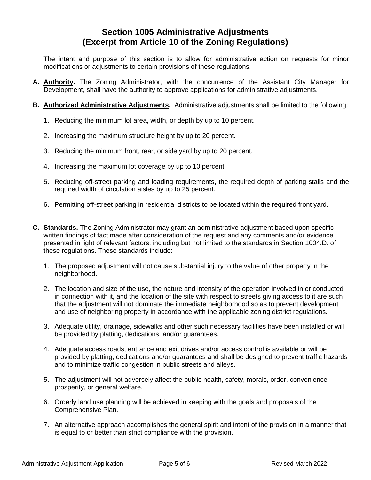# **Section 1005 Administrative Adjustments (Excerpt from Article 10 of the Zoning Regulations)**

The intent and purpose of this section is to allow for administrative action on requests for minor modifications or adjustments to certain provisions of these regulations.

- **A. Authority.** The Zoning Administrator, with the concurrence of the Assistant City Manager for Development, shall have the authority to approve applications for administrative adjustments.
- **B. Authorized Administrative Adjustments.** Administrative adjustments shall be limited to the following:
	- 1. Reducing the minimum lot area, width, or depth by up to 10 percent.
	- 2. Increasing the maximum structure height by up to 20 percent.
	- 3. Reducing the minimum front, rear, or side yard by up to 20 percent.
	- 4. Increasing the maximum lot coverage by up to 10 percent.
	- 5. Reducing off-street parking and loading requirements, the required depth of parking stalls and the required width of circulation aisles by up to 25 percent.
	- 6. Permitting off-street parking in residential districts to be located within the required front yard.
- **C. Standards.** The Zoning Administrator may grant an administrative adjustment based upon specific written findings of fact made after consideration of the request and any comments and/or evidence presented in light of relevant factors, including but not limited to the standards in Section 1004.D. of these regulations. These standards include:
	- 1. The proposed adjustment will not cause substantial injury to the value of other property in the neighborhood.
	- 2. The location and size of the use, the nature and intensity of the operation involved in or conducted in connection with it, and the location of the site with respect to streets giving access to it are such that the adjustment will not dominate the immediate neighborhood so as to prevent development and use of neighboring property in accordance with the applicable zoning district regulations.
	- 3. Adequate utility, drainage, sidewalks and other such necessary facilities have been installed or will be provided by platting, dedications, and/or guarantees.
	- 4. Adequate access roads, entrance and exit drives and/or access control is available or will be provided by platting, dedications and/or guarantees and shall be designed to prevent traffic hazards and to minimize traffic congestion in public streets and alleys.
	- 5. The adjustment will not adversely affect the public health, safety, morals, order, convenience, prosperity, or general welfare.
	- 6. Orderly land use planning will be achieved in keeping with the goals and proposals of the Comprehensive Plan.
	- 7. An alternative approach accomplishes the general spirit and intent of the provision in a manner that is equal to or better than strict compliance with the provision.